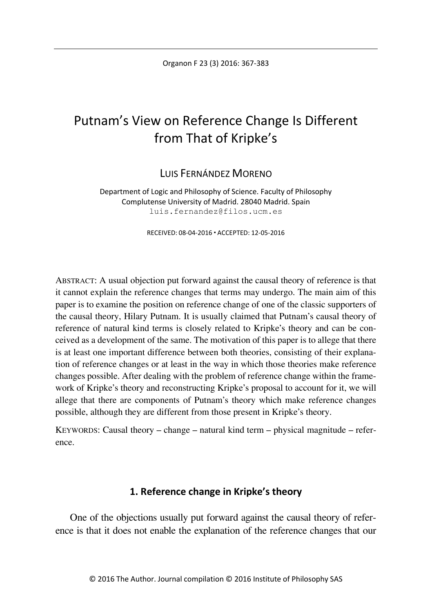# Putnam's View on Reference Change Is Different from That of Kripke's

LUIS FERNÁNDEZ MORENO

Department of Logic and Philosophy of Science. Faculty of Philosophy Complutense University of Madrid. 28040 Madrid. Spain luis.fernandez@filos.ucm.es

RECEIVED: 08-04-2016 ACCEPTED: 12-05-2016

ABSTRACT: A usual objection put forward against the causal theory of reference is that it cannot explain the reference changes that terms may undergo. The main aim of this paper is to examine the position on reference change of one of the classic supporters of the causal theory, Hilary Putnam. It is usually claimed that Putnam's causal theory of reference of natural kind terms is closely related to Kripke's theory and can be conceived as a development of the same. The motivation of this paper is to allege that there is at least one important difference between both theories, consisting of their explanation of reference changes or at least in the way in which those theories make reference changes possible. After dealing with the problem of reference change within the framework of Kripke's theory and reconstructing Kripke's proposal to account for it, we will allege that there are components of Putnam's theory which make reference changes possible, although they are different from those present in Kripke's theory.

KEYWORDS: Causal theory – change – natural kind term – physical magnitude – reference.

## **1. Reference change in Kripke's theory**

One of the objections usually put forward against the causal theory of reference is that it does not enable the explanation of the reference changes that our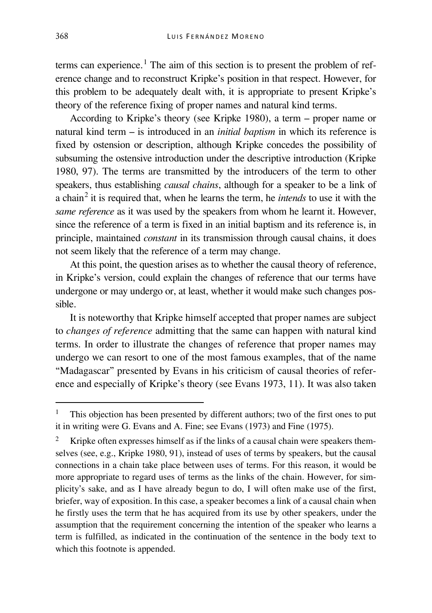terms can experience.<sup>[1](#page-1-0)</sup> The aim of this section is to present the problem of reference change and to reconstruct Kripke's position in that respect. However, for this problem to be adequately dealt with, it is appropriate to present Kripke's theory of the reference fixing of proper names and natural kind terms.

According to Kripke's theory (see Kripke 1980), a term – proper name or natural kind term – is introduced in an *initial baptism* in which its reference is fixed by ostension or description, although Kripke concedes the possibility of subsuming the ostensive introduction under the descriptive introduction (Kripke 1980, 97). The terms are transmitted by the introducers of the term to other speakers, thus establishing *causal chains*, although for a speaker to be a link of a chain[2](#page-1-1) it is required that, when he learns the term, he *intends* to use it with the *same reference* as it was used by the speakers from whom he learnt it. However, since the reference of a term is fixed in an initial baptism and its reference is, in principle, maintained *constant* in its transmission through causal chains, it does not seem likely that the reference of a term may change.

At this point, the question arises as to whether the causal theory of reference, in Kripke's version, could explain the changes of reference that our terms have undergone or may undergo or, at least, whether it would make such changes possible.

It is noteworthy that Kripke himself accepted that proper names are subject to *changes of reference* admitting that the same can happen with natural kind terms. In order to illustrate the changes of reference that proper names may undergo we can resort to one of the most famous examples, that of the name "Madagascar" presented by Evans in his criticism of causal theories of reference and especially of Kripke's theory (see Evans 1973, 11). It was also taken

<span id="page-1-0"></span> <sup>1</sup> This objection has been presented by different authors; two of the first ones to put it in writing were G. Evans and A. Fine; see Evans (1973) and Fine (1975).

<span id="page-1-1"></span><sup>2</sup> Kripke often expresses himself as if the links of a causal chain were speakers themselves (see, e.g., Kripke 1980, 91), instead of uses of terms by speakers, but the causal connections in a chain take place between uses of terms. For this reason, it would be more appropriate to regard uses of terms as the links of the chain. However, for simplicity's sake, and as I have already begun to do, I will often make use of the first, briefer, way of exposition. In this case, a speaker becomes a link of a causal chain when he firstly uses the term that he has acquired from its use by other speakers, under the assumption that the requirement concerning the intention of the speaker who learns a term is fulfilled, as indicated in the continuation of the sentence in the body text to which this footnote is appended.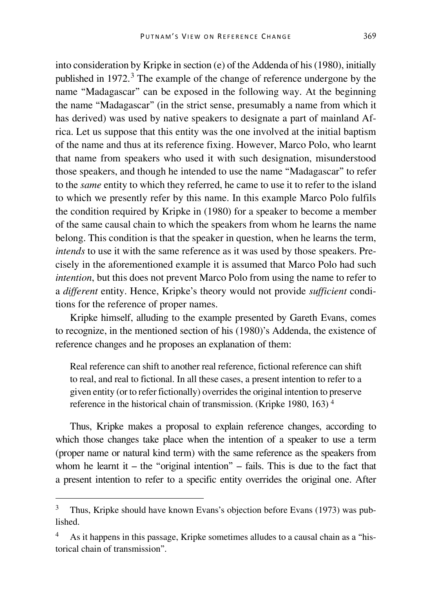into consideration by Kripke in section (e) of the Addenda of his (1980), initially published in 1972. [3](#page-2-0) The example of the change of reference undergone by the name "Madagascar" can be exposed in the following way. At the beginning the name "Madagascar" (in the strict sense, presumably a name from which it has derived) was used by native speakers to designate a part of mainland Africa. Let us suppose that this entity was the one involved at the initial baptism of the name and thus at its reference fixing. However, Marco Polo, who learnt that name from speakers who used it with such designation, misunderstood those speakers, and though he intended to use the name "Madagascar" to refer to the *same* entity to which they referred, he came to use it to refer to the island to which we presently refer by this name. In this example Marco Polo fulfils the condition required by Kripke in (1980) for a speaker to become a member of the same causal chain to which the speakers from whom he learns the name belong. This condition is that the speaker in question, when he learns the term, *intends* to use it with the same reference as it was used by those speakers. Precisely in the aforementioned example it is assumed that Marco Polo had such *intention*, but this does not prevent Marco Polo from using the name to refer to a *different* entity. Hence, Kripke's theory would not provide *sufficient* conditions for the reference of proper names.

Kripke himself, alluding to the example presented by Gareth Evans, comes to recognize, in the mentioned section of his (1980)'s Addenda, the existence of reference changes and he proposes an explanation of them:

Real reference can shift to another real reference, fictional reference can shift to real, and real to fictional. In all these cases, a present intention to refer to a given entity (or to refer fictionally) overrides the original intention to preserve reference in the historical chain of transmission. (Kripke 1980, 163) [4](#page-2-1)

Thus, Kripke makes a proposal to explain reference changes, according to which those changes take place when the intention of a speaker to use a term (proper name or natural kind term) with the same reference as the speakers from whom he learnt it – the "original intention" – fails. This is due to the fact that a present intention to refer to a specific entity overrides the original one. After

<span id="page-2-0"></span><sup>&</sup>lt;sup>3</sup> Thus, Kripke should have known Evans's objection before Evans (1973) was published.

<span id="page-2-1"></span><sup>4</sup> As it happens in this passage, Kripke sometimes alludes to a causal chain as a "historical chain of transmission".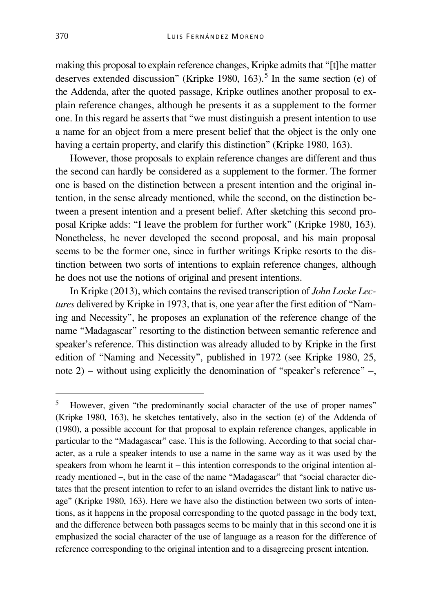making this proposal to explain reference changes, Kripke admits that "[t]he matter deserves extended discussion" (Kripke 1980, 163).<sup>[5](#page-3-0)</sup> In the same section (e) of the Addenda, after the quoted passage, Kripke outlines another proposal to explain reference changes, although he presents it as a supplement to the former one. In this regard he asserts that "we must distinguish a present intention to use a name for an object from a mere present belief that the object is the only one having a certain property, and clarify this distinction" (Kripke 1980, 163).

However, those proposals to explain reference changes are different and thus the second can hardly be considered as a supplement to the former. The former one is based on the distinction between a present intention and the original intention, in the sense already mentioned, while the second, on the distinction between a present intention and a present belief. After sketching this second proposal Kripke adds: "I leave the problem for further work" (Kripke 1980, 163). Nonetheless, he never developed the second proposal, and his main proposal seems to be the former one, since in further writings Kripke resorts to the distinction between two sorts of intentions to explain reference changes, although he does not use the notions of original and present intentions.

In Kripke (2013), which contains the revised transcription of *John Locke Lectures* delivered by Kripke in 1973, that is, one year after the first edition of "Naming and Necessity", he proposes an explanation of the reference change of the name "Madagascar" resorting to the distinction between semantic reference and speaker's reference. This distinction was already alluded to by Kripke in the first edition of "Naming and Necessity", published in 1972 (see Kripke 1980, 25, note 2) − without using explicitly the denomination of "speaker's reference" −,

<span id="page-3-0"></span><sup>&</sup>lt;sup>5</sup> However, given "the predominantly social character of the use of proper names" (Kripke 1980, 163), he sketches tentatively, also in the section (e) of the Addenda of (1980), a possible account for that proposal to explain reference changes, applicable in particular to the "Madagascar" case. This is the following. According to that social character, as a rule a speaker intends to use a name in the same way as it was used by the speakers from whom he learnt it – this intention corresponds to the original intention already mentioned –, but in the case of the name "Madagascar" that "social character dictates that the present intention to refer to an island overrides the distant link to native usage" (Kripke 1980, 163). Here we have also the distinction between two sorts of intentions, as it happens in the proposal corresponding to the quoted passage in the body text, and the difference between both passages seems to be mainly that in this second one it is emphasized the social character of the use of language as a reason for the difference of reference corresponding to the original intention and to a disagreeing present intention.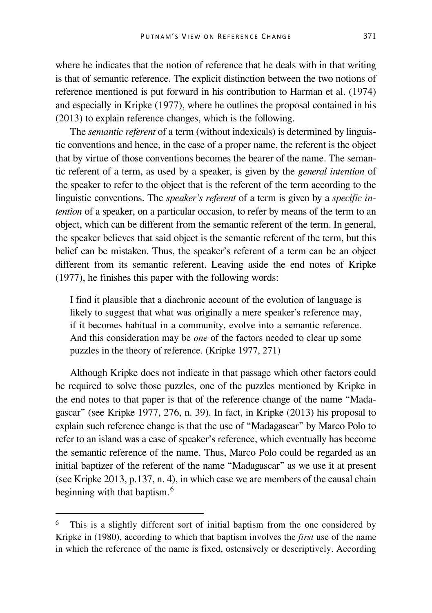where he indicates that the notion of reference that he deals with in that writing is that of semantic reference. The explicit distinction between the two notions of reference mentioned is put forward in his contribution to Harman et al. (1974) and especially in Kripke (1977), where he outlines the proposal contained in his (2013) to explain reference changes, which is the following.

The *semantic referent* of a term (without indexicals) is determined by linguistic conventions and hence, in the case of a proper name, the referent is the object that by virtue of those conventions becomes the bearer of the name. The semantic referent of a term, as used by a speaker, is given by the *general intention* of the speaker to refer to the object that is the referent of the term according to the linguistic conventions. The *speaker's referent* of a term is given by a *specific intention* of a speaker, on a particular occasion, to refer by means of the term to an object, which can be different from the semantic referent of the term. In general, the speaker believes that said object is the semantic referent of the term, but this belief can be mistaken. Thus, the speaker's referent of a term can be an object different from its semantic referent. Leaving aside the end notes of Kripke (1977), he finishes this paper with the following words:

I find it plausible that a diachronic account of the evolution of language is likely to suggest that what was originally a mere speaker's reference may, if it becomes habitual in a community, evolve into a semantic reference. And this consideration may be *one* of the factors needed to clear up some puzzles in the theory of reference. (Kripke 1977, 271)

Although Kripke does not indicate in that passage which other factors could be required to solve those puzzles, one of the puzzles mentioned by Kripke in the end notes to that paper is that of the reference change of the name "Madagascar" (see Kripke 1977, 276, n. 39). In fact, in Kripke (2013) his proposal to explain such reference change is that the use of "Madagascar" by Marco Polo to refer to an island was a case of speaker's reference, which eventually has become the semantic reference of the name. Thus, Marco Polo could be regarded as an initial baptizer of the referent of the name "Madagascar" as we use it at present (see Kripke 2013, p.137, n. 4), in which case we are members of the causal chain beginning with that baptism.<sup>[6](#page-4-0)</sup>

<span id="page-4-0"></span>This is a slightly different sort of initial baptism from the one considered by Kripke in (1980), according to which that baptism involves the *first* use of the name in which the reference of the name is fixed, ostensively or descriptively. According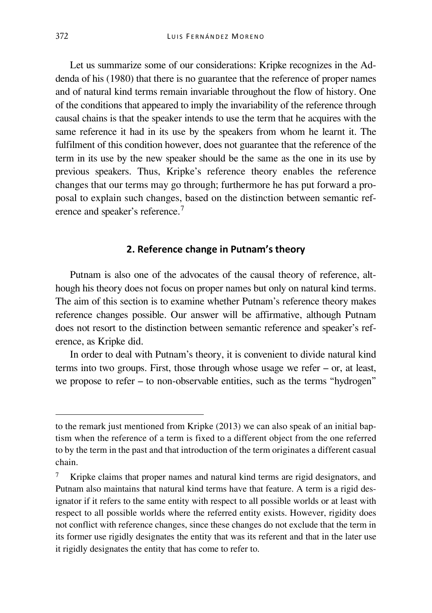Let us summarize some of our considerations: Kripke recognizes in the Addenda of his (1980) that there is no guarantee that the reference of proper names and of natural kind terms remain invariable throughout the flow of history. One of the conditions that appeared to imply the invariability of the reference through causal chains is that the speaker intends to use the term that he acquires with the same reference it had in its use by the speakers from whom he learnt it. The fulfilment of this condition however, does not guarantee that the reference of the term in its use by the new speaker should be the same as the one in its use by previous speakers. Thus, Kripke's reference theory enables the reference changes that our terms may go through; furthermore he has put forward a proposal to explain such changes, based on the distinction between semantic ref-erence and speaker's reference.<sup>[7](#page-5-0)</sup>

### **2. Reference change in Putnam's theory**

Putnam is also one of the advocates of the causal theory of reference, although his theory does not focus on proper names but only on natural kind terms. The aim of this section is to examine whether Putnam's reference theory makes reference changes possible. Our answer will be affirmative, although Putnam does not resort to the distinction between semantic reference and speaker's reference, as Kripke did.

In order to deal with Putnam's theory, it is convenient to divide natural kind terms into two groups. First, those through whose usage we refer – or, at least, we propose to refer – to non-observable entities, such as the terms "hydrogen"

to the remark just mentioned from Kripke (2013) we can also speak of an initial baptism when the reference of a term is fixed to a different object from the one referred to by the term in the past and that introduction of the term originates a different casual chain.

<span id="page-5-0"></span><sup>7</sup> Kripke claims that proper names and natural kind terms are rigid designators, and Putnam also maintains that natural kind terms have that feature. A term is a rigid designator if it refers to the same entity with respect to all possible worlds or at least with respect to all possible worlds where the referred entity exists. However, rigidity does not conflict with reference changes, since these changes do not exclude that the term in its former use rigidly designates the entity that was its referent and that in the later use it rigidly designates the entity that has come to refer to.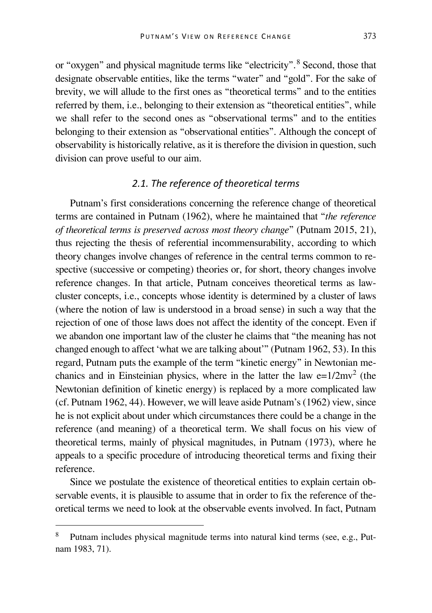or "oxygen" and physical magnitude terms like "electricity".[8](#page-6-0) Second, those that designate observable entities, like the terms "water" and "gold". For the sake of brevity, we will allude to the first ones as "theoretical terms" and to the entities referred by them, i.e., belonging to their extension as "theoretical entities", while we shall refer to the second ones as "observational terms" and to the entities belonging to their extension as "observational entities". Although the concept of observability is historically relative, as it is therefore the division in question, such division can prove useful to our aim.

## *2.1. The reference of theoretical terms*

Putnam's first considerations concerning the reference change of theoretical terms are contained in Putnam (1962), where he maintained that "*the reference of theoretical terms is preserved across most theory change*" (Putnam 2015, 21), thus rejecting the thesis of referential incommensurability, according to which theory changes involve changes of reference in the central terms common to respective (successive or competing) theories or, for short, theory changes involve reference changes. In that article, Putnam conceives theoretical terms as lawcluster concepts, i.e., concepts whose identity is determined by a cluster of laws (where the notion of law is understood in a broad sense) in such a way that the rejection of one of those laws does not affect the identity of the concept. Even if we abandon one important law of the cluster he claims that "the meaning has not changed enough to affect 'what we are talking about'" (Putnam 1962, 53). In this regard, Putnam puts the example of the term "kinetic energy" in Newtonian mechanics and in Einsteinian physics, where in the latter the law  $e=1/2mv^2$  (the Newtonian definition of kinetic energy) is replaced by a more complicated law (cf. Putnam 1962, 44). However, we will leave aside Putnam's (1962) view, since he is not explicit about under which circumstances there could be a change in the reference (and meaning) of a theoretical term. We shall focus on his view of theoretical terms, mainly of physical magnitudes, in Putnam (1973), where he appeals to a specific procedure of introducing theoretical terms and fixing their reference.

Since we postulate the existence of theoretical entities to explain certain observable events, it is plausible to assume that in order to fix the reference of theoretical terms we need to look at the observable events involved. In fact, Putnam

<span id="page-6-0"></span>Putnam includes physical magnitude terms into natural kind terms (see, e.g., Putnam 1983, 71).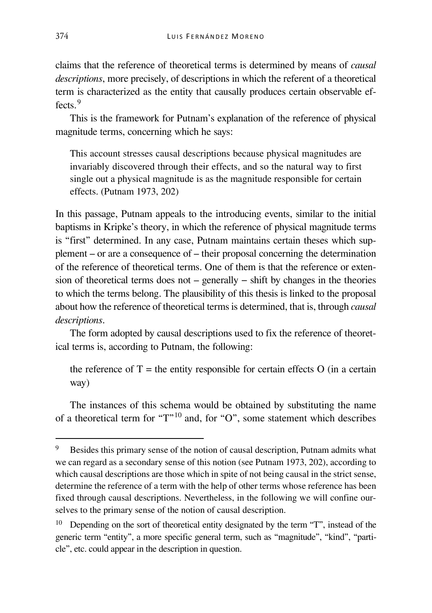claims that the reference of theoretical terms is determined by means of *causal descriptions*, more precisely, of descriptions in which the referent of a theoretical term is characterized as the entity that causally produces certain observable ef $f_{\text{ecte}}$ <sup>[9](#page-7-0)</sup>

This is the framework for Putnam's explanation of the reference of physical magnitude terms, concerning which he says:

This account stresses causal descriptions because physical magnitudes are invariably discovered through their effects, and so the natural way to first single out a physical magnitude is as the magnitude responsible for certain effects. (Putnam 1973, 202)

In this passage, Putnam appeals to the introducing events, similar to the initial baptisms in Kripke's theory, in which the reference of physical magnitude terms is "first" determined. In any case, Putnam maintains certain theses which supplement – or are a consequence of – their proposal concerning the determination of the reference of theoretical terms. One of them is that the reference or extension of theoretical terms does not – generally − shift by changes in the theories to which the terms belong. The plausibility of this thesis is linked to the proposal about how the reference of theoretical terms is determined, that is, through *causal descriptions*.

The form adopted by causal descriptions used to fix the reference of theoretical terms is, according to Putnam, the following:

the reference of  $T =$  the entity responsible for certain effects O (in a certain way)

The instances of this schema would be obtained by substituting the name of a theoretical term for " $T$ "<sup>[10](#page-7-1)</sup> and, for "O", some statement which describes

<span id="page-7-0"></span> <sup>9</sup> Besides this primary sense of the notion of causal description, Putnam admits what we can regard as a secondary sense of this notion (see Putnam 1973, 202), according to which causal descriptions are those which in spite of not being causal in the strict sense, determine the reference of a term with the help of other terms whose reference has been fixed through causal descriptions. Nevertheless, in the following we will confine ourselves to the primary sense of the notion of causal description.

<span id="page-7-1"></span><sup>&</sup>lt;sup>10</sup> Depending on the sort of theoretical entity designated by the term "T", instead of the generic term "entity", a more specific general term, such as "magnitude", "kind", "particle", etc. could appear in the description in question.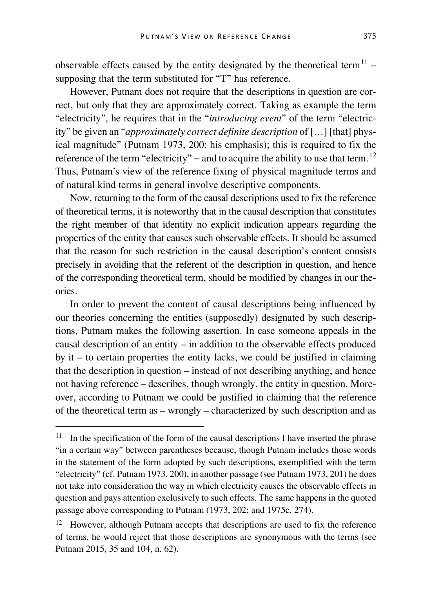observable effects caused by the entity designated by the theoretical term<sup>[11](#page-8-0)</sup> – supposing that the term substituted for "T" has reference.

However, Putnam does not require that the descriptions in question are correct, but only that they are approximately correct. Taking as example the term "electricity", he requires that in the "*introducing event*" of the term "electricity" be given an "*approximately correct definite description* of […] [that] physical magnitude" (Putnam 1973, 200; his emphasis); this is required to fix the reference of the term "electricity" – and to acquire the ability to use that term.<sup>[12](#page-8-1)</sup> Thus, Putnam's view of the reference fixing of physical magnitude terms and of natural kind terms in general involve descriptive components.

Now, returning to the form of the causal descriptions used to fix the reference of theoretical terms, it is noteworthy that in the causal description that constitutes the right member of that identity no explicit indication appears regarding the properties of the entity that causes such observable effects. It should be assumed that the reason for such restriction in the causal description's content consists precisely in avoiding that the referent of the description in question, and hence of the corresponding theoretical term, should be modified by changes in our theories.

In order to prevent the content of causal descriptions being influenced by our theories concerning the entities (supposedly) designated by such descriptions, Putnam makes the following assertion. In case someone appeals in the causal description of an entity  $-$  in addition to the observable effects produced by it  $-$  to certain properties the entity lacks, we could be justified in claiming that the description in question – instead of not describing anything, and hence not having reference – describes, though wrongly, the entity in question. Moreover, according to Putnam we could be justified in claiming that the reference of the theoretical term as – wrongly – characterized by such description and as

<span id="page-8-0"></span><sup>&</sup>lt;sup>11</sup> In the specification of the form of the causal descriptions I have inserted the phrase "in a certain way" between parentheses because, though Putnam includes those words in the statement of the form adopted by such descriptions, exemplified with the term "electricity" (cf. Putnam 1973, 200), in another passage (see Putnam 1973, 201) he does not take into consideration the way in which electricity causes the observable effects in question and pays attention exclusively to such effects. The same happens in the quoted passage above corresponding to Putnam (1973, 202; and 1975c, 274).

<span id="page-8-1"></span><sup>&</sup>lt;sup>12</sup> However, although Putnam accepts that descriptions are used to fix the reference of terms, he would reject that those descriptions are synonymous with the terms (see Putnam 2015, 35 and 104, n. 62).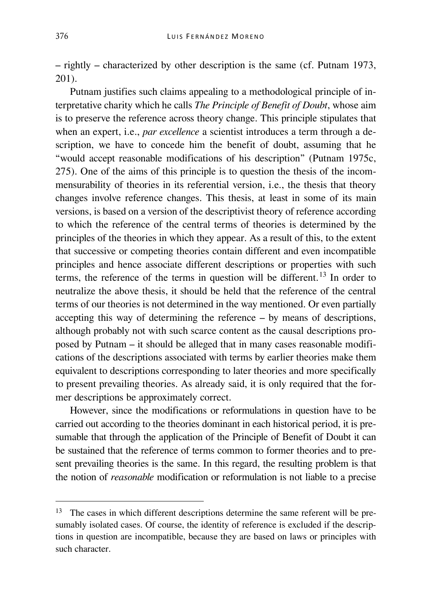– rightly – characterized by other description is the same (cf. Putnam 1973, 201).

Putnam justifies such claims appealing to a methodological principle of interpretative charity which he calls *The Principle of Benefit of Doubt*, whose aim is to preserve the reference across theory change. This principle stipulates that when an expert, *i.e., par excellence* a scientist introduces a term through a description, we have to concede him the benefit of doubt, assuming that he "would accept reasonable modifications of his description" (Putnam 1975c, 275). One of the aims of this principle is to question the thesis of the incommensurability of theories in its referential version, i.e., the thesis that theory changes involve reference changes. This thesis, at least in some of its main versions, is based on a version of the descriptivist theory of reference according to which the reference of the central terms of theories is determined by the principles of the theories in which they appear. As a result of this, to the extent that successive or competing theories contain different and even incompatible principles and hence associate different descriptions or properties with such terms, the reference of the terms in question will be different.<sup>[13](#page-9-0)</sup> In order to neutralize the above thesis, it should be held that the reference of the central terms of our theories is not determined in the way mentioned. Or even partially accepting this way of determining the reference – by means of descriptions, although probably not with such scarce content as the causal descriptions proposed by Putnam – it should be alleged that in many cases reasonable modifications of the descriptions associated with terms by earlier theories make them equivalent to descriptions corresponding to later theories and more specifically to present prevailing theories. As already said, it is only required that the former descriptions be approximately correct.

However, since the modifications or reformulations in question have to be carried out according to the theories dominant in each historical period, it is presumable that through the application of the Principle of Benefit of Doubt it can be sustained that the reference of terms common to former theories and to present prevailing theories is the same. In this regard, the resulting problem is that the notion of *reasonable* modification or reformulation is not liable to a precise

<span id="page-9-0"></span><sup>&</sup>lt;sup>13</sup> The cases in which different descriptions determine the same referent will be presumably isolated cases. Of course, the identity of reference is excluded if the descriptions in question are incompatible, because they are based on laws or principles with such character.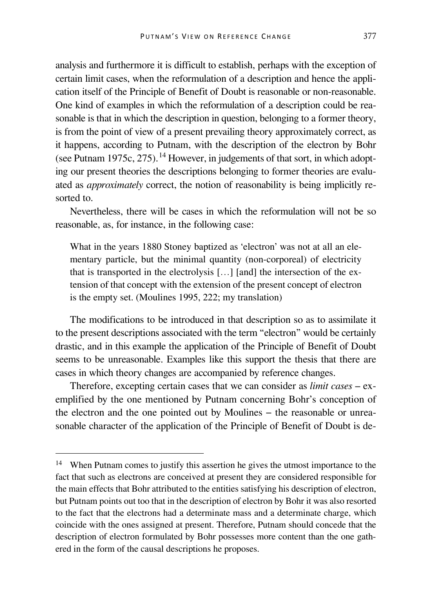analysis and furthermore it is difficult to establish, perhaps with the exception of certain limit cases, when the reformulation of a description and hence the application itself of the Principle of Benefit of Doubt is reasonable or non-reasonable. One kind of examples in which the reformulation of a description could be reasonable is that in which the description in question, belonging to a former theory, is from the point of view of a present prevailing theory approximately correct, as it happens, according to Putnam, with the description of the electron by Bohr (see Putnam 1975c, 275).<sup>[14](#page-10-0)</sup> However, in judgements of that sort, in which adopting our present theories the descriptions belonging to former theories are evaluated as *approximately* correct, the notion of reasonability is being implicitly resorted to.

Nevertheless, there will be cases in which the reformulation will not be so reasonable, as, for instance, in the following case:

What in the years 1880 Stoney baptized as 'electron' was not at all an elementary particle, but the minimal quantity (non-corporeal) of electricity that is transported in the electrolysis […] [and] the intersection of the extension of that concept with the extension of the present concept of electron is the empty set. (Moulines 1995, 222; my translation)

The modifications to be introduced in that description so as to assimilate it to the present descriptions associated with the term "electron" would be certainly drastic, and in this example the application of the Principle of Benefit of Doubt seems to be unreasonable. Examples like this support the thesis that there are cases in which theory changes are accompanied by reference changes.

Therefore, excepting certain cases that we can consider as *limit cases* – exemplified by the one mentioned by Putnam concerning Bohr's conception of the electron and the one pointed out by Moulines − the reasonable or unreasonable character of the application of the Principle of Benefit of Doubt is de-

<span id="page-10-0"></span><sup>&</sup>lt;sup>14</sup> When Putnam comes to justify this assertion he gives the utmost importance to the fact that such as electrons are conceived at present they are considered responsible for the main effects that Bohr attributed to the entities satisfying his description of electron, but Putnam points out too that in the description of electron by Bohr it was also resorted to the fact that the electrons had a determinate mass and a determinate charge, which coincide with the ones assigned at present. Therefore, Putnam should concede that the description of electron formulated by Bohr possesses more content than the one gathered in the form of the causal descriptions he proposes.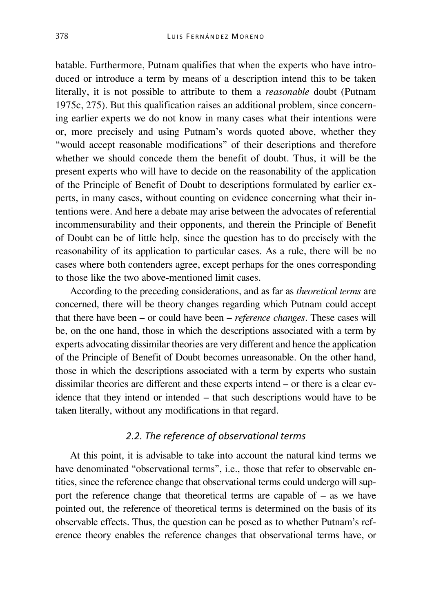batable. Furthermore, Putnam qualifies that when the experts who have introduced or introduce a term by means of a description intend this to be taken literally, it is not possible to attribute to them a *reasonable* doubt (Putnam 1975c, 275). But this qualification raises an additional problem, since concerning earlier experts we do not know in many cases what their intentions were or, more precisely and using Putnam's words quoted above, whether they "would accept reasonable modifications" of their descriptions and therefore whether we should concede them the benefit of doubt. Thus, it will be the present experts who will have to decide on the reasonability of the application of the Principle of Benefit of Doubt to descriptions formulated by earlier experts, in many cases, without counting on evidence concerning what their intentions were. And here a debate may arise between the advocates of referential incommensurability and their opponents, and therein the Principle of Benefit of Doubt can be of little help, since the question has to do precisely with the reasonability of its application to particular cases. As a rule, there will be no cases where both contenders agree, except perhaps for the ones corresponding to those like the two above-mentioned limit cases.

According to the preceding considerations, and as far as *theoretical terms* are concerned, there will be theory changes regarding which Putnam could accept that there have been – or could have been – *reference changes*. These cases will be, on the one hand, those in which the descriptions associated with a term by experts advocating dissimilar theories are very different and hence the application of the Principle of Benefit of Doubt becomes unreasonable. On the other hand, those in which the descriptions associated with a term by experts who sustain dissimilar theories are different and these experts intend – or there is a clear evidence that they intend or intended – that such descriptions would have to be taken literally, without any modifications in that regard.

#### *2.2. The reference of observational terms*

At this point, it is advisable to take into account the natural kind terms we have denominated "observational terms", i.e., those that refer to observable entities, since the reference change that observational terms could undergo will support the reference change that theoretical terms are capable of – as we have pointed out, the reference of theoretical terms is determined on the basis of its observable effects. Thus, the question can be posed as to whether Putnam's reference theory enables the reference changes that observational terms have, or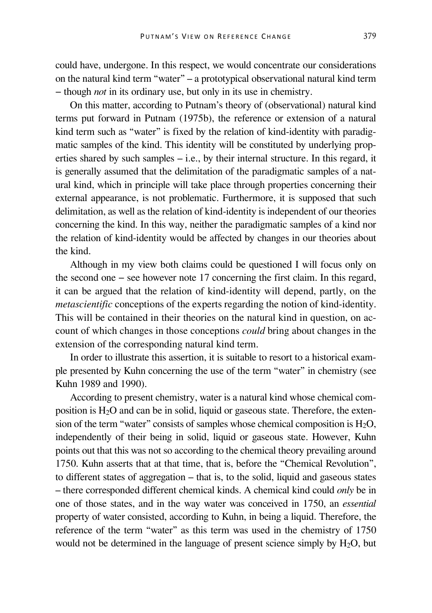could have, undergone. In this respect, we would concentrate our considerations on the natural kind term "water" – a prototypical observational natural kind term − though *not* in its ordinary use, but only in its use in chemistry.

On this matter, according to Putnam's theory of (observational) natural kind terms put forward in Putnam (1975b), the reference or extension of a natural kind term such as "water" is fixed by the relation of kind-identity with paradigmatic samples of the kind. This identity will be constituted by underlying properties shared by such samples – i.e., by their internal structure. In this regard, it is generally assumed that the delimitation of the paradigmatic samples of a natural kind, which in principle will take place through properties concerning their external appearance, is not problematic. Furthermore, it is supposed that such delimitation, as well as the relation of kind-identity is independent of our theories concerning the kind. In this way, neither the paradigmatic samples of a kind nor the relation of kind-identity would be affected by changes in our theories about the kind.

Although in my view both claims could be questioned I will focus only on the second one − see however note 17 concerning the first claim. In this regard, it can be argued that the relation of kind-identity will depend, partly, on the *metascientific* conceptions of the experts regarding the notion of kind-identity. This will be contained in their theories on the natural kind in question, on account of which changes in those conceptions *could* bring about changes in the extension of the corresponding natural kind term.

In order to illustrate this assertion, it is suitable to resort to a historical example presented by Kuhn concerning the use of the term "water" in chemistry (see Kuhn 1989 and 1990).

According to present chemistry, water is a natural kind whose chemical composition is H2O and can be in solid, liquid or gaseous state. Therefore, the extension of the term "water" consists of samples whose chemical composition is  $H_2O$ , independently of their being in solid, liquid or gaseous state. However, Kuhn points out that this was not so according to the chemical theory prevailing around 1750. Kuhn asserts that at that time, that is, before the "Chemical Revolution", to different states of aggregation – that is, to the solid, liquid and gaseous states – there corresponded different chemical kinds. A chemical kind could *only* be in one of those states, and in the way water was conceived in 1750, an *essential* property of water consisted, according to Kuhn, in being a liquid. Therefore, the reference of the term "water" as this term was used in the chemistry of 1750 would not be determined in the language of present science simply by  $H_2O$ , but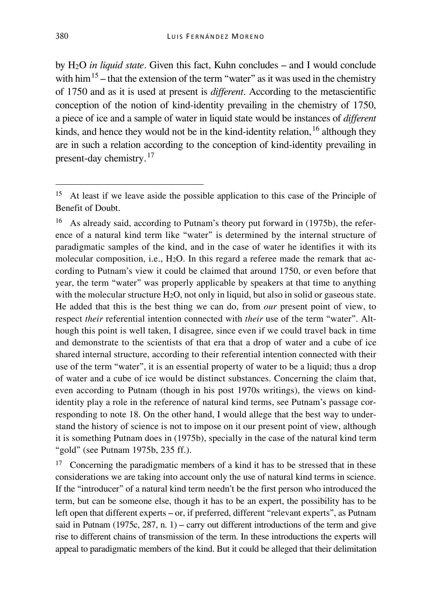by H2O *in liquid state*. Given this fact, Kuhn concludes – and I would conclude with him<sup>[15](#page-13-0)</sup> – that the extension of the term "water" as it was used in the chemistry of 1750 and as it is used at present is *different*. According to the metascientific conception of the notion of kind-identity prevailing in the chemistry of 1750, a piece of ice and a sample of water in liquid state would be instances of *different* kinds, and hence they would not be in the kind-identity relation,  $16$  although they are in such a relation according to the conception of kind-identity prevailing in present-day chemistry.<sup>[17](#page-13-2)</sup>

<span id="page-13-1"></span><sup>16</sup> As already said, according to Putnam's theory put forward in (1975b), the reference of a natural kind term like "water" is determined by the internal structure of paradigmatic samples of the kind, and in the case of water he identifies it with its molecular composition, i.e., H<sub>2</sub>O. In this regard a referee made the remark that according to Putnam's view it could be claimed that around 1750, or even before that year, the term "water" was properly applicable by speakers at that time to anything with the molecular structure H<sub>2</sub>O, not only in liquid, but also in solid or gaseous state. He added that this is the best thing we can do, from *our* present point of view, to respect *their* referential intention connected with *their* use of the term "water". Although this point is well taken, I disagree, since even if we could travel back in time and demonstrate to the scientists of that era that a drop of water and a cube of ice shared internal structure, according to their referential intention connected with their use of the term "water", it is an essential property of water to be a liquid; thus a drop of water and a cube of ice would be distinct substances. Concerning the claim that, even according to Putnam (though in his post 1970s writings), the views on kindidentity play a role in the reference of natural kind terms, see Putnam's passage corresponding to note 18. On the other hand, I would allege that the best way to understand the history of science is not to impose on it our present point of view, although it is something Putnam does in (1975b), specially in the case of the natural kind term "gold" (see Putnam 1975b, 235 ff.).

<span id="page-13-2"></span><sup>17</sup> Concerning the paradigmatic members of a kind it has to be stressed that in these considerations we are taking into account only the use of natural kind terms in science. If the "introducer" of a natural kind term needn't be the first person who introduced the term, but can be someone else, though it has to be an expert, the possibility has to be left open that different experts – or, if preferred, different "relevant experts", as Putnam said in Putnam (1975c, 287, n. 1) – carry out different introductions of the term and give rise to different chains of transmission of the term. In these introductions the experts will appeal to paradigmatic members of the kind. But it could be alleged that their delimitation

<span id="page-13-0"></span><sup>&</sup>lt;sup>15</sup> At least if we leave aside the possible application to this case of the Principle of Benefit of Doubt.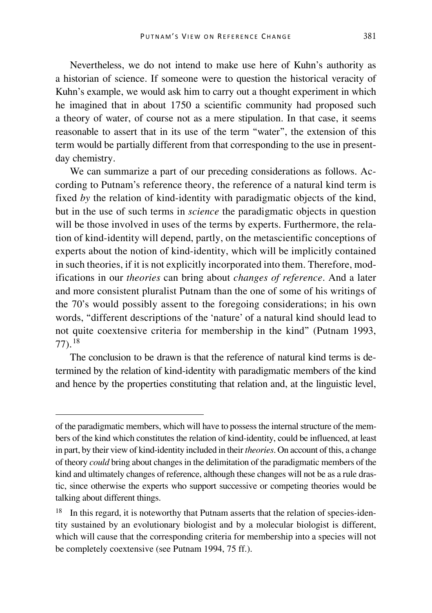Nevertheless, we do not intend to make use here of Kuhn's authority as a historian of science. If someone were to question the historical veracity of Kuhn's example, we would ask him to carry out a thought experiment in which he imagined that in about 1750 a scientific community had proposed such a theory of water, of course not as a mere stipulation. In that case, it seems reasonable to assert that in its use of the term "water", the extension of this term would be partially different from that corresponding to the use in presentday chemistry.

We can summarize a part of our preceding considerations as follows. According to Putnam's reference theory, the reference of a natural kind term is fixed *by* the relation of kind-identity with paradigmatic objects of the kind, but in the use of such terms in *science* the paradigmatic objects in question will be those involved in uses of the terms by experts. Furthermore, the relation of kind-identity will depend, partly, on the metascientific conceptions of experts about the notion of kind-identity, which will be implicitly contained in such theories, if it is not explicitly incorporated into them. Therefore, modifications in our *theories* can bring about *changes of reference*. And a later and more consistent pluralist Putnam than the one of some of his writings of the 70's would possibly assent to the foregoing considerations; in his own words, "different descriptions of the 'nature' of a natural kind should lead to not quite coextensive criteria for membership in the kind" (Putnam 1993, 77).[18](#page-14-0)

The conclusion to be drawn is that the reference of natural kind terms is determined by the relation of kind-identity with paradigmatic members of the kind and hence by the properties constituting that relation and, at the linguistic level,

of the paradigmatic members, which will have to possess the internal structure of the members of the kind which constitutes the relation of kind-identity, could be influenced, at least in part, by their view of kind-identity included in their *theories*. On account of this, a change of theory *could* bring about changes in the delimitation of the paradigmatic members of the kind and ultimately changes of reference, although these changes will not be as a rule drastic, since otherwise the experts who support successive or competing theories would be talking about different things.

<span id="page-14-0"></span><sup>&</sup>lt;sup>18</sup> In this regard, it is noteworthy that Putnam asserts that the relation of species-identity sustained by an evolutionary biologist and by a molecular biologist is different, which will cause that the corresponding criteria for membership into a species will not be completely coextensive (see Putnam 1994, 75 ff.).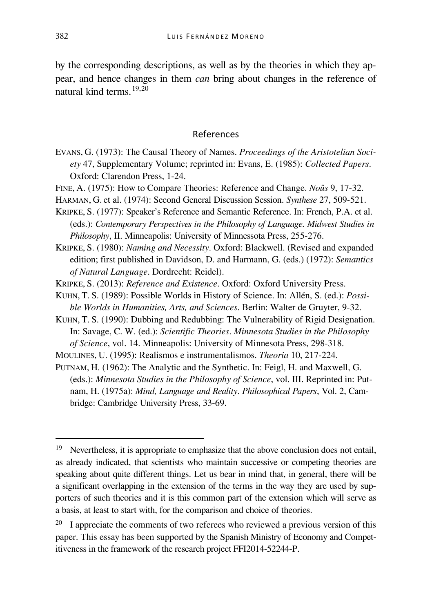by the corresponding descriptions, as well as by the theories in which they appear, and hence changes in them *can* bring about changes in the reference of natural kind terms.[19](#page-15-0),[20](#page-15-1)

#### References

- EVANS, G. (1973): The Causal Theory of Names. *Proceedings of the Aristotelian Society* 47, Supplementary Volume; reprinted in: Evans, E. (1985): *Collected Papers*. Oxford: Clarendon Press, 1-24.
- FINE, A. (1975): How to Compare Theories: Reference and Change. *Noûs* 9, 17-32.
- HARMAN, G. et al. (1974): Second General Discussion Session. *Synthese* 27, 509-521.
- KRIPKE, S. (1977): Speaker's Reference and Semantic Reference. In: French, P.A. et al. (eds.): *Contemporary Perspectives in the Philosophy of Language. Midwest Studies in Philosophy*, II. Minneapolis: University of Minnessota Press, 255-276.
- KRIPKE, S. (1980): *Naming and Necessity*. Oxford: Blackwell. (Revised and expanded edition; first published in Davidson, D. and Harmann, G. (eds.) (1972): *Semantics of Natural Language*. Dordrecht: Reidel).
- KRIPKE, S. (2013): *Reference and Existence*. Oxford: Oxford University Press.
- KUHN, T. S. (1989): Possible Worlds in History of Science. In: Allén, S. (ed.): *Possible Worlds in Humanities, Arts, and Sciences*. Berlin: Walter de Gruyter, 9-32.
- KUHN, T. S. (1990): Dubbing and Redubbing: The Vulnerability of Rigid Designation. In: Savage, C. W. (ed.): *Scientific Theories*. *Minnesota Studies in the Philosophy of Science*, vol. 14. Minneapolis: University of Minnesota Press, 298-318.
- MOULINES, U. (1995): Realismos e instrumentalismos. *Theoria* 10, 217-224.
- PUTNAM, H. (1962): The Analytic and the Synthetic. In: Feigl, H. and Maxwell, G. (eds.): *Minnesota Studies in the Philosophy of Science*, vol. III. Reprinted in: Putnam, H. (1975a): *Mind, Language and Reality*. *Philosophical Papers*, Vol. 2, Cambridge: Cambridge University Press, 33-69.

<span id="page-15-0"></span><sup>&</sup>lt;sup>19</sup> Nevertheless, it is appropriate to emphasize that the above conclusion does not entail, as already indicated, that scientists who maintain successive or competing theories are speaking about quite different things. Let us bear in mind that, in general, there will be a significant overlapping in the extension of the terms in the way they are used by supporters of such theories and it is this common part of the extension which will serve as a basis, at least to start with, for the comparison and choice of theories.

<span id="page-15-1"></span> $20\;\;$  I appreciate the comments of two referees who reviewed a previous version of this paper. This essay has been supported by the Spanish Ministry of Economy and Competitiveness in the framework of the research project FFI2014-52244-P.